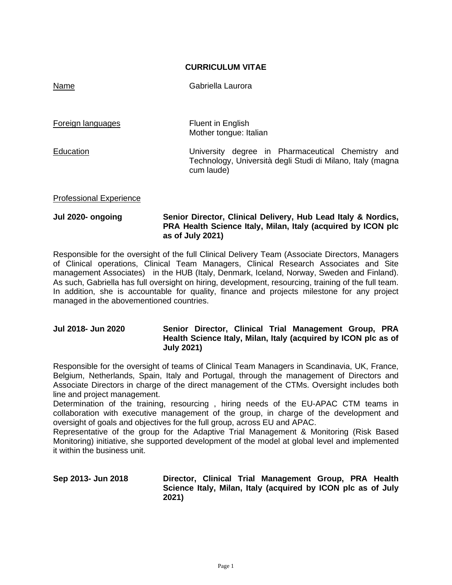#### **CURRICULUM VITAE**

Name Gabriella Laurora

Foreign languages Fluent in English Mother tongue: Italian Education University degree in Pharmaceutical Chemistry and Technology, Università degli Studi di Milano, Italy (magna cum laude)

#### Professional Experience

#### **Jul 2020- ongoing Senior Director, Clinical Delivery, Hub Lead Italy & Nordics, PRA Health Science Italy, Milan, Italy (acquired by ICON plc as of July 2021)**

Responsible for the oversight of the full Clinical Delivery Team (Associate Directors, Managers of Clinical operations, Clinical Team Managers, Clinical Research Associates and Site management Associates) in the HUB (Italy, Denmark, Iceland, Norway, Sweden and Finland). As such, Gabriella has full oversight on hiring, development, resourcing, training of the full team. In addition, she is accountable for quality, finance and projects milestone for any project managed in the abovementioned countries.

# **Jul 2018- Jun 2020 Senior Director, Clinical Trial Management Group, PRA Health Science Italy, Milan, Italy (acquired by ICON plc as of July 2021)**

Responsible for the oversight of teams of Clinical Team Managers in Scandinavia, UK, France, Belgium, Netherlands, Spain, Italy and Portugal, through the management of Directors and Associate Directors in charge of the direct management of the CTMs. Oversight includes both line and project management.

Determination of the training, resourcing , hiring needs of the EU-APAC CTM teams in collaboration with executive management of the group, in charge of the development and oversight of goals and objectives for the full group, across EU and APAC.

Representative of the group for the Adaptive Trial Management & Monitoring (Risk Based Monitoring) initiative, she supported development of the model at global level and implemented it within the business unit.

# **Sep 2013- Jun 2018 Director, Clinical Trial Management Group, PRA Health Science Italy, Milan, Italy (acquired by ICON plc as of July 2021)**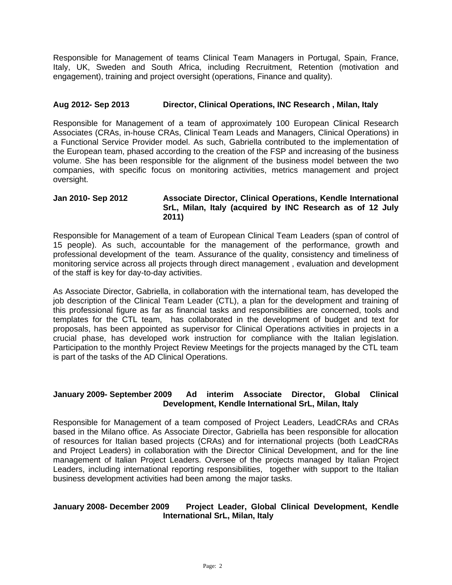Responsible for Management of teams Clinical Team Managers in Portugal, Spain, France, Italy, UK, Sweden and South Africa, including Recruitment, Retention (motivation and engagement), training and project oversight (operations, Finance and quality).

### **Aug 2012- Sep 2013 Director, Clinical Operations, INC Research , Milan, Italy**

Responsible for Management of a team of approximately 100 European Clinical Research Associates (CRAs, in-house CRAs, Clinical Team Leads and Managers, Clinical Operations) in a Functional Service Provider model. As such, Gabriella contributed to the implementation of the European team, phased according to the creation of the FSP and increasing of the business volume. She has been responsible for the alignment of the business model between the two companies, with specific focus on monitoring activities, metrics management and project oversight.

#### **Jan 2010- Sep 2012 Associate Director, Clinical Operations, Kendle International SrL, Milan, Italy (acquired by INC Research as of 12 July 2011)**

Responsible for Management of a team of European Clinical Team Leaders (span of control of 15 people). As such, accountable for the management of the performance, growth and professional development of the team. Assurance of the quality, consistency and timeliness of monitoring service across all projects through direct management , evaluation and development of the staff is key for day-to-day activities.

As Associate Director, Gabriella, in collaboration with the international team, has developed the job description of the Clinical Team Leader (CTL), a plan for the development and training of this professional figure as far as financial tasks and responsibilities are concerned, tools and templates for the CTL team, has collaborated in the development of budget and text for proposals, has been appointed as supervisor for Clinical Operations activities in projects in a crucial phase, has developed work instruction for compliance with the Italian legislation. Participation to the monthly Project Review Meetings for the projects managed by the CTL team is part of the tasks of the AD Clinical Operations.

# **January 2009- September 2009 Ad interim Associate Director, Global Clinical Development, Kendle International SrL, Milan, Italy**

Responsible for Management of a team composed of Project Leaders, LeadCRAs and CRAs based in the Milano office. As Associate Director, Gabriella has been responsible for allocation of resources for Italian based projects (CRAs) and for international projects (both LeadCRAs and Project Leaders) in collaboration with the Director Clinical Development, and for the line management of Italian Project Leaders. Oversee of the projects managed by Italian Project Leaders, including international reporting responsibilities, together with support to the Italian business development activities had been among the major tasks.

# **January 2008- December 2009 Project Leader, Global Clinical Development, Kendle International SrL, Milan, Italy**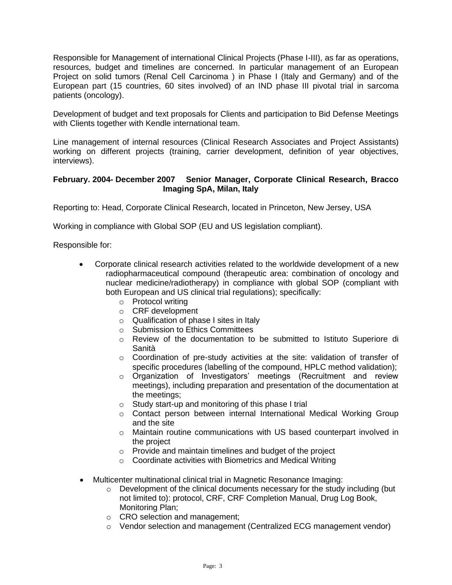Responsible for Management of international Clinical Projects (Phase I-III), as far as operations, resources, budget and timelines are concerned. In particular management of an European Project on solid tumors (Renal Cell Carcinoma ) in Phase I (Italy and Germany) and of the European part (15 countries, 60 sites involved) of an IND phase III pivotal trial in sarcoma patients (oncology).

Development of budget and text proposals for Clients and participation to Bid Defense Meetings with Clients together with Kendle international team.

Line management of internal resources (Clinical Research Associates and Project Assistants) working on different projects (training, carrier development, definition of year objectives, interviews).

### **February. 2004- December 2007 Senior Manager, Corporate Clinical Research, Bracco Imaging SpA, Milan, Italy**

Reporting to: Head, Corporate Clinical Research, located in Princeton, New Jersey, USA

Working in compliance with Global SOP (EU and US legislation compliant).

Responsible for:

- Corporate clinical research activities related to the worldwide development of a new radiopharmaceutical compound (therapeutic area: combination of oncology and nuclear medicine/radiotherapy) in compliance with global SOP (compliant with both European and US clinical trial regulations); specifically:
	- o Protocol writing
	- o CRF development
	- o Qualification of phase I sites in Italy
	- o Submission to Ethics Committees
	- o Review of the documentation to be submitted to Istituto Superiore di Sanità
	- o Coordination of pre-study activities at the site: validation of transfer of specific procedures (labelling of the compound, HPLC method validation);
	- o Organization of Investigators' meetings (Recruitment and review meetings), including preparation and presentation of the documentation at the meetings;
	- o Study start-up and monitoring of this phase I trial
	- $\circ$  Contact person between internal International Medical Working Group and the site
	- $\circ$  Maintain routine communications with US based counterpart involved in the project
	- o Provide and maintain timelines and budget of the project
	- o Coordinate activities with Biometrics and Medical Writing
- Multicenter multinational clinical trial in Magnetic Resonance Imaging:
	- $\circ$  Development of the clinical documents necessary for the study including (but not limited to): protocol, CRF, CRF Completion Manual, Drug Log Book, Monitoring Plan;
	- o CRO selection and management;
	- $\circ$  Vendor selection and management (Centralized ECG management vendor)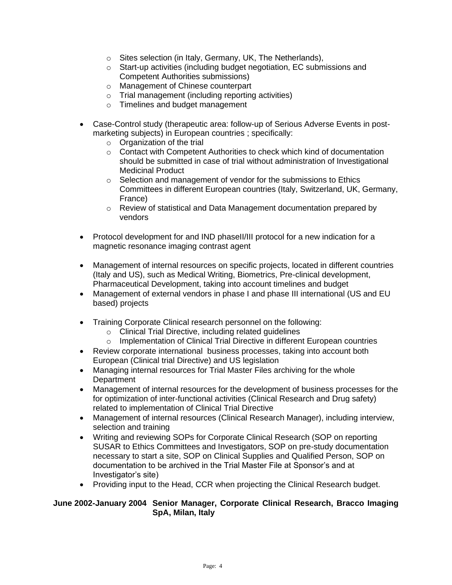- o Sites selection (in Italy, Germany, UK, The Netherlands),
- o Start-up activities (including budget negotiation, EC submissions and Competent Authorities submissions)
- o Management of Chinese counterpart
- o Trial management (including reporting activities)
- o Timelines and budget management
- Case-Control study (therapeutic area: follow-up of Serious Adverse Events in postmarketing subjects) in European countries ; specifically:
	- $\circ$  Organization of the trial
	- $\circ$  Contact with Competent Authorities to check which kind of documentation should be submitted in case of trial without administration of Investigational Medicinal Product
	- o Selection and management of vendor for the submissions to Ethics Committees in different European countries (Italy, Switzerland, UK, Germany, France)
	- o Review of statistical and Data Management documentation prepared by vendors
- Protocol development for and IND phaseII/III protocol for a new indication for a magnetic resonance imaging contrast agent
- Management of internal resources on specific projects, located in different countries (Italy and US), such as Medical Writing, Biometrics, Pre-clinical development, Pharmaceutical Development, taking into account timelines and budget
- Management of external vendors in phase I and phase III international (US and EU based) projects
- Training Corporate Clinical research personnel on the following:
	- o Clinical Trial Directive, including related guidelines
	- o Implementation of Clinical Trial Directive in different European countries
- Review corporate international business processes, taking into account both European (Clinical trial Directive) and US legislation
- Managing internal resources for Trial Master Files archiving for the whole **Department**
- Management of internal resources for the development of business processes for the for optimization of inter-functional activities (Clinical Research and Drug safety) related to implementation of Clinical Trial Directive
- Management of internal resources (Clinical Research Manager), including interview, selection and training
- Writing and reviewing SOPs for Corporate Clinical Research (SOP on reporting SUSAR to Ethics Committees and Investigators, SOP on pre-study documentation necessary to start a site, SOP on Clinical Supplies and Qualified Person, SOP on documentation to be archived in the Trial Master File at Sponsor's and at Investigator's site)
- Providing input to the Head, CCR when projecting the Clinical Research budget.

#### **June 2002-January 2004 Senior Manager, Corporate Clinical Research, Bracco Imaging SpA, Milan, Italy**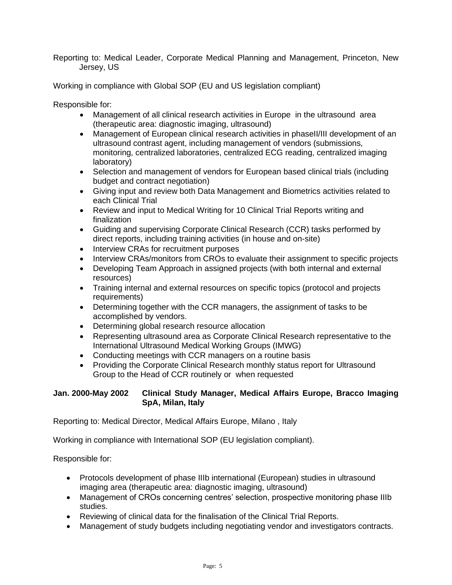Reporting to: Medical Leader, Corporate Medical Planning and Management, Princeton, New Jersey, US

Working in compliance with Global SOP (EU and US legislation compliant)

Responsible for:

- Management of all clinical research activities in Europe in the ultrasound area (therapeutic area: diagnostic imaging, ultrasound)
- Management of European clinical research activities in phaseII/III development of an ultrasound contrast agent, including management of vendors (submissions, monitoring, centralized laboratories, centralized ECG reading, centralized imaging laboratory)
- Selection and management of vendors for European based clinical trials (including budget and contract negotiation)
- Giving input and review both Data Management and Biometrics activities related to each Clinical Trial
- Review and input to Medical Writing for 10 Clinical Trial Reports writing and finalization
- Guiding and supervising Corporate Clinical Research (CCR) tasks performed by direct reports, including training activities (in house and on-site)
- Interview CRAs for recruitment purposes
- Interview CRAs/monitors from CROs to evaluate their assignment to specific projects
- Developing Team Approach in assigned projects (with both internal and external resources)
- Training internal and external resources on specific topics (protocol and projects requirements)
- Determining together with the CCR managers, the assignment of tasks to be accomplished by vendors.
- Determining global research resource allocation
- Representing ultrasound area as Corporate Clinical Research representative to the International Ultrasound Medical Working Groups (IMWG)
- Conducting meetings with CCR managers on a routine basis
- Providing the Corporate Clinical Research monthly status report for Ultrasound Group to the Head of CCR routinely or when requested

# **Jan. 2000-May 2002 Clinical Study Manager, Medical Affairs Europe, Bracco Imaging SpA, Milan, Italy**

Reporting to: Medical Director, Medical Affairs Europe, Milano , Italy

Working in compliance with International SOP (EU legislation compliant).

Responsible for:

- Protocols development of phase IIIb international (European) studies in ultrasound imaging area (therapeutic area: diagnostic imaging, ultrasound)
- Management of CROs concerning centres' selection, prospective monitoring phase IIIb studies.
- Reviewing of clinical data for the finalisation of the Clinical Trial Reports.
- Management of study budgets including negotiating vendor and investigators contracts.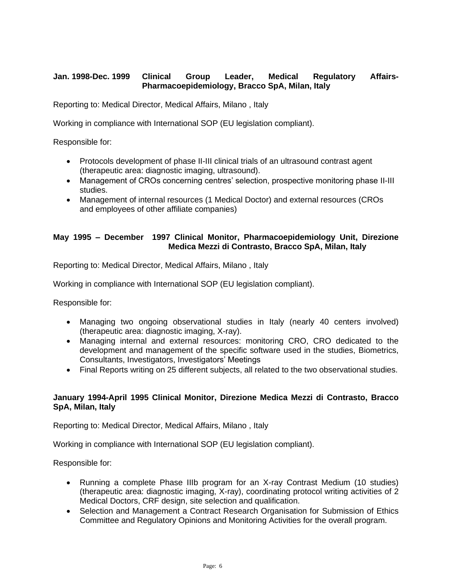# **Jan. 1998-Dec. 1999 Clinical Group Leader, Medical Regulatory Affairs-Pharmacoepidemiology, Bracco SpA, Milan, Italy**

Reporting to: Medical Director, Medical Affairs, Milano , Italy

Working in compliance with International SOP (EU legislation compliant).

Responsible for:

- Protocols development of phase II-III clinical trials of an ultrasound contrast agent (therapeutic area: diagnostic imaging, ultrasound).
- Management of CROs concerning centres' selection, prospective monitoring phase II-III studies.
- Management of internal resources (1 Medical Doctor) and external resources (CROs and employees of other affiliate companies)

# **May 1995 – December 1997 Clinical Monitor, Pharmacoepidemiology Unit, Direzione Medica Mezzi di Contrasto, Bracco SpA, Milan, Italy**

Reporting to: Medical Director, Medical Affairs, Milano , Italy

Working in compliance with International SOP (EU legislation compliant).

Responsible for:

- Managing two ongoing observational studies in Italy (nearly 40 centers involved) (therapeutic area: diagnostic imaging, X-ray).
- Managing internal and external resources: monitoring CRO, CRO dedicated to the development and management of the specific software used in the studies, Biometrics, Consultants, Investigators, Investigators' Meetings
- Final Reports writing on 25 different subjects, all related to the two observational studies.

# **January 1994-April 1995 Clinical Monitor, Direzione Medica Mezzi di Contrasto, Bracco SpA, Milan, Italy**

Reporting to: Medical Director, Medical Affairs, Milano , Italy

Working in compliance with International SOP (EU legislation compliant).

Responsible for:

- Running a complete Phase IIIb program for an X-ray Contrast Medium (10 studies) (therapeutic area: diagnostic imaging, X-ray), coordinating protocol writing activities of 2 Medical Doctors, CRF design, site selection and qualification.
- Selection and Management a Contract Research Organisation for Submission of Ethics Committee and Regulatory Opinions and Monitoring Activities for the overall program.